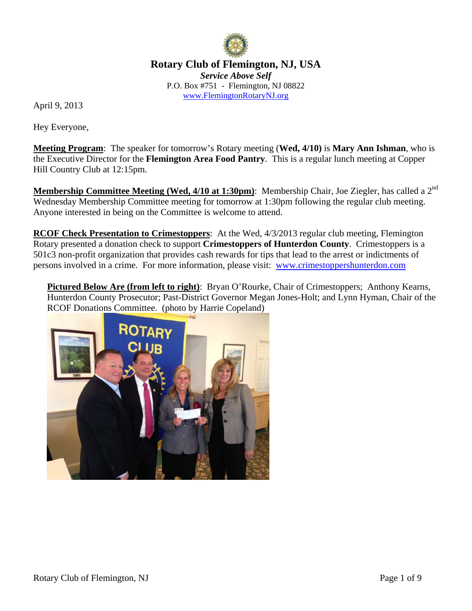

**Rotary Club of Flemington, NJ, USA**  *Service Above Self*  P.O. Box #751 - Flemington, NJ 08822 www.FlemingtonRotaryNJ.org

April 9, 2013

Hey Everyone,

**Meeting Program**: The speaker for tomorrow's Rotary meeting (**Wed, 4/10)** is **Mary Ann Ishman**, who is the Executive Director for the **Flemington Area Food Pantry**. This is a regular lunch meeting at Copper Hill Country Club at 12:15pm.

**Membership Committee Meeting (Wed, 4/10 at 1:30pm)**: Membership Chair, Joe Ziegler, has called a 2<sup>nd</sup> Wednesday Membership Committee meeting for tomorrow at 1:30pm following the regular club meeting. Anyone interested in being on the Committee is welcome to attend.

**RCOF Check Presentation to Crimestoppers**: At the Wed, 4/3/2013 regular club meeting, Flemington Rotary presented a donation check to support **Crimestoppers of Hunterdon County**. Crimestoppers is a 501c3 non-profit organization that provides cash rewards for tips that lead to the arrest or indictments of persons involved in a crime. For more information, please visit: www.crimestoppershunterdon.com

**Pictured Below Are (from left to right)**: Bryan O'Rourke, Chair of Crimestoppers; Anthony Kearns, Hunterdon County Prosecutor; Past-District Governor Megan Jones-Holt; and Lynn Hyman, Chair of the RCOF Donations Committee. (photo by Harrie Copeland)

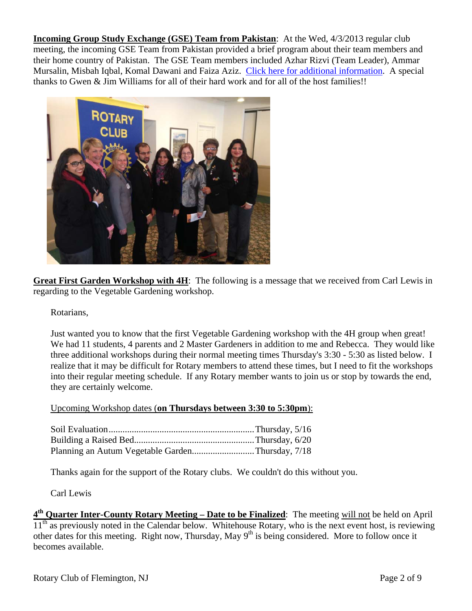**Incoming Group Study Exchange (GSE) Team from Pakistan**: At the Wed, 4/3/2013 regular club meeting, the incoming GSE Team from Pakistan provided a brief program about their team members and their home country of Pakistan. The GSE Team members included Azhar Rizvi (Team Leader), Ammar Mursalin, Misbah Iqbal, Komal Dawani and Faiza Aziz. Click here for additional information. A special thanks to Gwen & Jim Williams for all of their hard work and for all of the host families!!



**Great First Garden Workshop with 4H**: The following is a message that we received from Carl Lewis in regarding to the Vegetable Gardening workshop.

Rotarians,

Just wanted you to know that the first Vegetable Gardening workshop with the 4H group when great! We had 11 students, 4 parents and 2 Master Gardeners in addition to me and Rebecca. They would like three additional workshops during their normal meeting times Thursday's 3:30 - 5:30 as listed below. I realize that it may be difficult for Rotary members to attend these times, but I need to fit the workshops into their regular meeting schedule. If any Rotary member wants to join us or stop by towards the end, they are certainly welcome.

#### Upcoming Workshop dates (**on Thursdays between 3:30 to 5:30pm**):

| Planning an Autum Vegetable GardenThursday, 7/18 |  |
|--------------------------------------------------|--|

Thanks again for the support of the Rotary clubs. We couldn't do this without you.

Carl Lewis

**4th Quarter Inter-County Rotary Meeting – Date to be Finalized**: The meeting will not be held on April  $11<sup>th</sup>$  as previously noted in the Calendar below. Whitehouse Rotary, who is the next event host, is reviewing other dates for this meeting. Right now, Thursday, May  $9<sup>th</sup>$  is being considered. More to follow once it becomes available.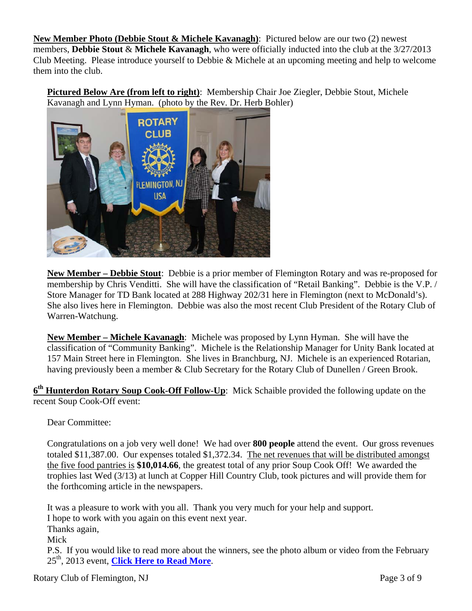**New Member Photo (Debbie Stout & Michele Kavanagh)**: Pictured below are our two (2) newest members, **Debbie Stout** & **Michele Kavanagh**, who were officially inducted into the club at the 3/27/2013 Club Meeting. Please introduce yourself to Debbie & Michele at an upcoming meeting and help to welcome them into the club.

**Pictured Below Are (from left to right)**: Membership Chair Joe Ziegler, Debbie Stout, Michele Kavanagh and Lynn Hyman. (photo by the Rev. Dr. Herb Bohler)



**New Member – Debbie Stout**: Debbie is a prior member of Flemington Rotary and was re-proposed for membership by Chris Venditti. She will have the classification of "Retail Banking". Debbie is the V.P. / Store Manager for TD Bank located at 288 Highway 202/31 here in Flemington (next to McDonald's). She also lives here in Flemington. Debbie was also the most recent Club President of the Rotary Club of Warren-Watchung.

**New Member – Michele Kavanagh**: Michele was proposed by Lynn Hyman. She will have the classification of "Community Banking". Michele is the Relationship Manager for Unity Bank located at 157 Main Street here in Flemington. She lives in Branchburg, NJ. Michele is an experienced Rotarian, having previously been a member & Club Secretary for the Rotary Club of Dunellen / Green Brook.

**6th Hunterdon Rotary Soup Cook-Off Follow-Up**: Mick Schaible provided the following update on the recent Soup Cook-Off event:

Dear Committee:

Congratulations on a job very well done! We had over **800 people** attend the event. Our gross revenues totaled \$11,387.00. Our expenses totaled \$1,372.34. The net revenues that will be distributed amongst the five food pantries is **\$10,014.66**, the greatest total of any prior Soup Cook Off! We awarded the trophies last Wed (3/13) at lunch at Copper Hill Country Club, took pictures and will provide them for the forthcoming article in the newspapers.

It was a pleasure to work with you all. Thank you very much for your help and support. I hope to work with you again on this event next year. Thanks again, Mick P.S. If you would like to read more about the winners, see the photo album or video from the February 25th, 2013 event, **Click Here to Read More**.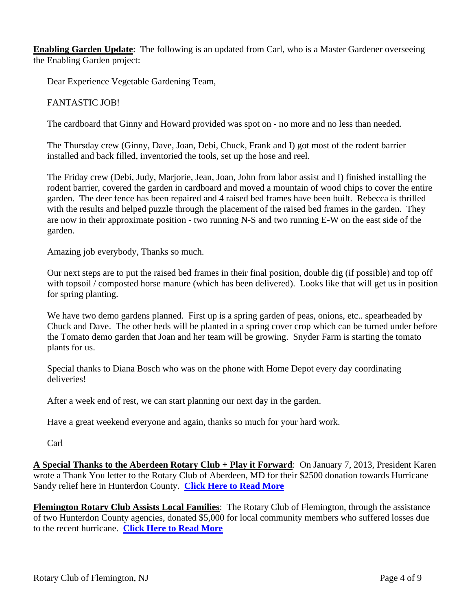**Enabling Garden Update**: The following is an updated from Carl, who is a Master Gardener overseeing the Enabling Garden project:

Dear Experience Vegetable Gardening Team,

# FANTASTIC JOB!

The cardboard that Ginny and Howard provided was spot on - no more and no less than needed.

The Thursday crew (Ginny, Dave, Joan, Debi, Chuck, Frank and I) got most of the rodent barrier installed and back filled, inventoried the tools, set up the hose and reel.

The Friday crew (Debi, Judy, Marjorie, Jean, Joan, John from labor assist and I) finished installing the rodent barrier, covered the garden in cardboard and moved a mountain of wood chips to cover the entire garden. The deer fence has been repaired and 4 raised bed frames have been built. Rebecca is thrilled with the results and helped puzzle through the placement of the raised bed frames in the garden. They are now in their approximate position - two running N-S and two running E-W on the east side of the garden.

Amazing job everybody, Thanks so much.

Our next steps are to put the raised bed frames in their final position, double dig (if possible) and top off with topsoil / composted horse manure (which has been delivered). Looks like that will get us in position for spring planting.

We have two demo gardens planned. First up is a spring garden of peas, onions, etc.. spearheaded by Chuck and Dave. The other beds will be planted in a spring cover crop which can be turned under before the Tomato demo garden that Joan and her team will be growing. Snyder Farm is starting the tomato plants for us.

Special thanks to Diana Bosch who was on the phone with Home Depot every day coordinating deliveries!

After a week end of rest, we can start planning our next day in the garden.

Have a great weekend everyone and again, thanks so much for your hard work.

Carl

**A Special Thanks to the Aberdeen Rotary Club + Play it Forward**: On January 7, 2013, President Karen wrote a Thank You letter to the Rotary Club of Aberdeen, MD for their \$2500 donation towards Hurricane Sandy relief here in Hunterdon County. **Click Here to Read More**

**Flemington Rotary Club Assists Local Families**: The Rotary Club of Flemington, through the assistance of two Hunterdon County agencies, donated \$5,000 for local community members who suffered losses due to the recent hurricane. **Click Here to Read More**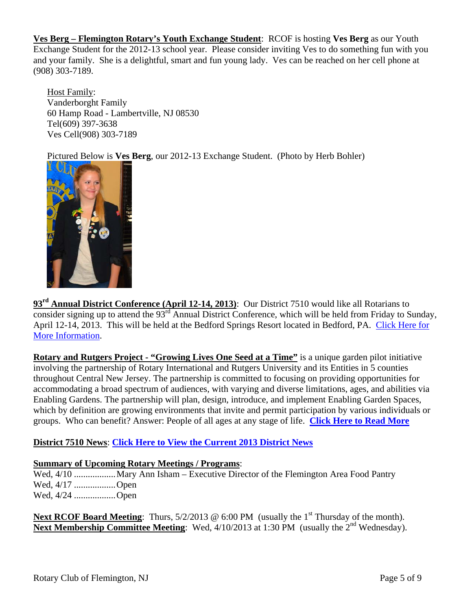**Ves Berg – Flemington Rotary's Youth Exchange Student**: RCOF is hosting **Ves Berg** as our Youth Exchange Student for the 2012-13 school year. Please consider inviting Ves to do something fun with you and your family. She is a delightful, smart and fun young lady. Ves can be reached on her cell phone at (908) 303-7189.

Host Family: Vanderborght Family 60 Hamp Road - Lambertville, NJ 08530 Tel(609) 397-3638 Ves Cell(908) 303-7189

Pictured Below is **Ves Berg**, our 2012-13 Exchange Student. (Photo by Herb Bohler)



**93rd Annual District Conference (April 12-14, 2013)**: Our District 7510 would like all Rotarians to consider signing up to attend the  $93<sup>rd</sup>$  Annual District Conference, which will be held from Friday to Sunday, April 12-14, 2013. This will be held at the Bedford Springs Resort located in Bedford, PA. Click Here for More Information.

**Rotary and Rutgers Project - "Growing Lives One Seed at a Time"** is a unique garden pilot initiative involving the partnership of Rotary International and Rutgers University and its Entities in 5 counties throughout Central New Jersey. The partnership is committed to focusing on providing opportunities for accommodating a broad spectrum of audiences, with varying and diverse limitations, ages, and abilities via Enabling Gardens. The partnership will plan, design, introduce, and implement Enabling Garden Spaces, which by definition are growing environments that invite and permit participation by various individuals or groups. Who can benefit? Answer: People of all ages at any stage of life. **Click Here to Read More**

# **District 7510 News**: **Click Here to View the Current 2013 District News**

# **Summary of Upcoming Rotary Meetings / Programs**:

Wed, 4/10 .................. Mary Ann Isham – Executive Director of the Flemington Area Food Pantry Wed, 4/17 .................. Open Wed, 4/24 .................. Open

**Next RCOF Board Meeting**: Thurs,  $5/2/2013 \otimes 6:00 \text{ PM}$  (usually the 1<sup>st</sup> Thursday of the month). **Next Membership Committee Meeting**: Wed, 4/10/2013 at 1:30 PM (usually the 2<sup>nd</sup> Wednesday).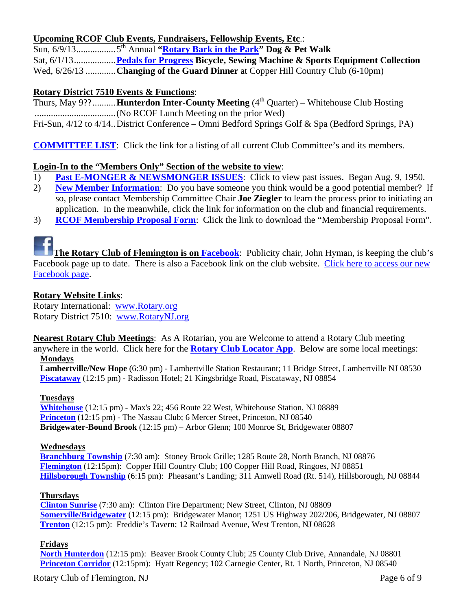# **Upcoming RCOF Club Events, Fundraisers, Fellowship Events, Etc**.:

Sun, 6/9/13 ................. 5th Annual **"Rotary Bark in the Park" Dog & Pet Walk**  Sat, 6/1/13 .................. **Pedals for Progress Bicycle, Sewing Machine & Sports Equipment Collection**  Wed, 6/26/13 ............. **Changing of the Guard Dinner** at Copper Hill Country Club (6-10pm)

# **Rotary District 7510 Events & Functions**:

Thurs, May 9??..........**Hunterdon Inter-County Meeting** (4<sup>th</sup> Quarter) – Whitehouse Club Hosting ................................... (No RCOF Lunch Meeting on the prior Wed) Fri-Sun, 4/12 to 4/14 .. District Conference – Omni Bedford Springs Golf & Spa (Bedford Springs, PA)

**COMMITTEE LIST**: Click the link for a listing of all current Club Committee's and its members.

# **Login-In to the "Members Only" Section of the website to view**:

- 1) **Past E-MONGER & NEWSMONGER ISSUES**: Click to view past issues. Began Aug. 9, 1950.
- 2) **New Member Information**: Do you have someone you think would be a good potential member? If so, please contact Membership Committee Chair **Joe Ziegler** to learn the process prior to initiating an application. In the meanwhile, click the link for information on the club and financial requirements.
- 3) **RCOF Membership Proposal Form**: Click the link to download the "Membership Proposal Form".



**The Rotary Club of Flemington is on Facebook**: Publicity chair, John Hyman, is keeping the club's Facebook page up to date. There is also a Facebook link on the club website. Click here to access our new Facebook page.

# **Rotary Website Links**:

Rotary International: www.Rotary.org Rotary District 7510: www.RotaryNJ.org

**Nearest Rotary Club Meetings**: As A Rotarian, you are Welcome to attend a Rotary Club meeting anywhere in the world. Click here for the **Rotary Club Locator App**. Below are some local meetings: **Mondays** 

**Lambertville/New Hope** (6:30 pm) - Lambertville Station Restaurant; 11 Bridge Street, Lambertville NJ 08530 **Piscataway** (12:15 pm) - Radisson Hotel; 21 Kingsbridge Road, Piscataway, NJ 08854

#### **Tuesdays**

**Whitehouse** (12:15 pm) - Max's 22; 456 Route 22 West, Whitehouse Station, NJ 08889 **Princeton** (12:15 pm) - The Nassau Club; 6 Mercer Street, Princeton, NJ 08540 **Bridgewater-Bound Brook** (12:15 pm) – Arbor Glenn; 100 Monroe St, Bridgewater 08807

#### **Wednesdays**

**Branchburg Township** (7:30 am): Stoney Brook Grille; 1285 Route 28, North Branch, NJ 08876 **Flemington** (12:15pm): Copper Hill Country Club; 100 Copper Hill Road, Ringoes, NJ 08851 **Hillsborough Township** (6:15 pm): Pheasant's Landing; 311 Amwell Road (Rt. 514), Hillsborough, NJ 08844

# **Thursdays**

**Clinton Sunrise** (7:30 am): Clinton Fire Department; New Street, Clinton, NJ 08809 **Somerville/Bridgewater** (12:15 pm): Bridgewater Manor; 1251 US Highway 202/206, Bridgewater, NJ 08807 **Trenton** (12:15 pm): Freddie's Tavern; 12 Railroad Avenue, West Trenton, NJ 08628

# **Fridays**

**North Hunterdon** (12:15 pm): Beaver Brook County Club; 25 County Club Drive, Annandale, NJ 08801 **Princeton Corridor** (12:15pm): Hyatt Regency; 102 Carnegie Center, Rt. 1 North, Princeton, NJ 08540

Rotary Club of Flemington, NJ Page 6 of 9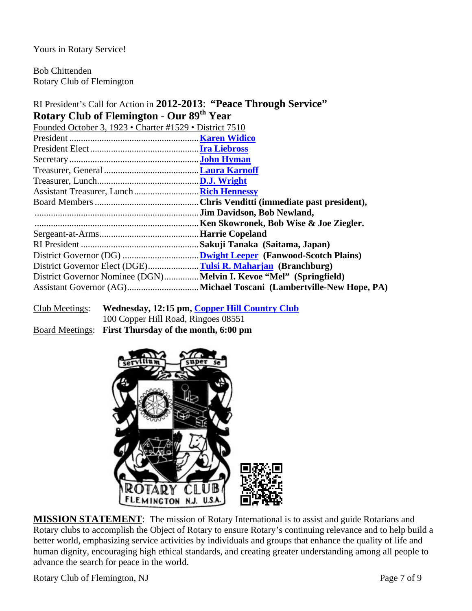Yours in Rotary Service!

Bob Chittenden Rotary Club of Flemington

# RI President's Call for Action in **2012-2013**: **"Peace Through Service" Rotary Club of Flemington - Our 89th Year**

| Founded October 3, 1923 • Charter #1529 • District 7510            |                                        |
|--------------------------------------------------------------------|----------------------------------------|
|                                                                    |                                        |
|                                                                    |                                        |
|                                                                    |                                        |
|                                                                    |                                        |
|                                                                    |                                        |
|                                                                    |                                        |
|                                                                    |                                        |
|                                                                    |                                        |
|                                                                    | Ken Skowronek, Bob Wise & Joe Ziegler. |
|                                                                    | <b>.Harrie Copeland</b>                |
|                                                                    |                                        |
|                                                                    |                                        |
| District Governor Elect (DGE)Tulsi R. Maharjan (Branchburg)        |                                        |
| District Governor Nominee (DGN)Melvin I. Kevoe "Mel" (Springfield) |                                        |
|                                                                    |                                        |
|                                                                    |                                        |

Club Meetings: **Wednesday, 12:15 pm, Copper Hill Country Club** 100 Copper Hill Road, Ringoes 08551 Board Meetings: **First Thursday of the month, 6:00 pm**



**MISSION STATEMENT**: The mission of Rotary International is to assist and guide Rotarians and Rotary clubs to accomplish the Object of Rotary to ensure Rotary's continuing relevance and to help build a better world, emphasizing service activities by individuals and groups that enhance the quality of life and human dignity, encouraging high ethical standards, and creating greater understanding among all people to advance the search for peace in the world.

Rotary Club of Flemington, NJ Page 7 of 9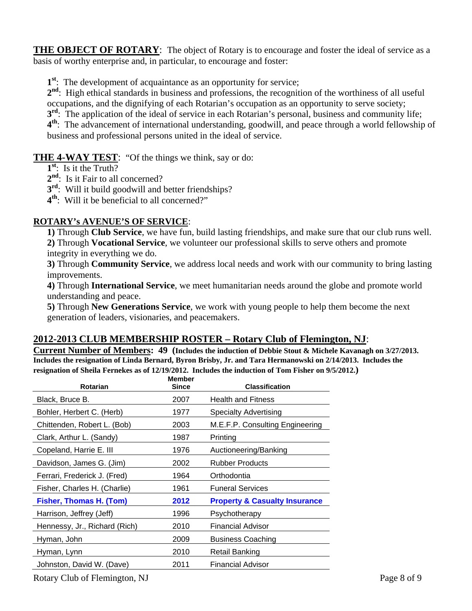**THE OBJECT OF ROTARY:** The object of Rotary is to encourage and foster the ideal of service as a basis of worthy enterprise and, in particular, to encourage and foster:

**1st**: The development of acquaintance as an opportunity for service;

 $2<sup>nd</sup>$ : High ethical standards in business and professions, the recognition of the worthiness of all useful occupations, and the dignifying of each Rotarian's occupation as an opportunity to serve society;

**3<sup>rd</sup>:** The application of the ideal of service in each Rotarian's personal, business and community life;

**4th**: The advancement of international understanding, goodwill, and peace through a world fellowship of business and professional persons united in the ideal of service.

**THE 4-WAY TEST**: "Of the things we think, say or do:

- **1st**: Is it the Truth?
- 2<sup>nd</sup>: Is it Fair to all concerned?
- **3<sup>rd</sup>:** Will it build goodwill and better friendships?
- **4th**: Will it be beneficial to all concerned?"

# **ROTARY's AVENUE'S OF SERVICE**:

**1)** Through **Club Service**, we have fun, build lasting friendships, and make sure that our club runs well. **2)** Through **Vocational Service**, we volunteer our professional skills to serve others and promote integrity in everything we do.

**3)** Through **Community Service**, we address local needs and work with our community to bring lasting improvements.

**4)** Through **International Service**, we meet humanitarian needs around the globe and promote world understanding and peace.

**5)** Through **New Generations Service**, we work with young people to help them become the next generation of leaders, visionaries, and peacemakers.

# **2012-2013 CLUB MEMBERSHIP ROSTER – Rotary Club of Flemington, NJ**:

**Current Number of Members: 49 (Includes the induction of Debbie Stout & Michele Kavanagh on 3/27/2013. Includes the resignation of Linda Bernard, Byron Brisby, Jr. and Tara Hermanowski on 2/14/2013. Includes the resignation of Sheila Fernekes as of 12/19/2012. Includes the induction of Tom Fisher on 9/5/2012.)** 

| Rotarian                      | <b>Member</b><br><b>Since</b> | <b>Classification</b>                    |
|-------------------------------|-------------------------------|------------------------------------------|
| Black, Bruce B.               | 2007                          | <b>Health and Fitness</b>                |
| Bohler, Herbert C. (Herb)     | 1977                          | Specialty Advertising                    |
| Chittenden, Robert L. (Bob)   | 2003                          | M.E.F.P. Consulting Engineering          |
| Clark, Arthur L. (Sandy)      | 1987                          | Printing                                 |
| Copeland, Harrie E. III       | 1976                          | Auctioneering/Banking                    |
| Davidson, James G. (Jim)      | 2002                          | <b>Rubber Products</b>                   |
| Ferrari, Frederick J. (Fred)  | 1964                          | Orthodontia                              |
| Fisher, Charles H. (Charlie)  | 1961                          | <b>Funeral Services</b>                  |
| Fisher, Thomas H. (Tom)       | 2012                          | <b>Property &amp; Casualty Insurance</b> |
| Harrison, Jeffrey (Jeff)      | 1996                          | Psychotherapy                            |
| Hennessy, Jr., Richard (Rich) | 2010                          | <b>Financial Advisor</b>                 |
| Hyman, John                   | 2009                          | <b>Business Coaching</b>                 |
| Hyman, Lynn                   | 2010                          | Retail Banking                           |
| Johnston, David W. (Dave)     | 2011                          | <b>Financial Advisor</b>                 |
|                               |                               |                                          |

Rotary Club of Flemington, NJ Page 8 of 9